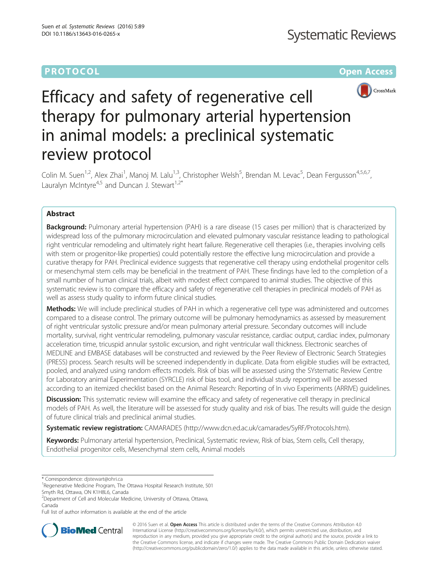# **PROTOCOL CONSUMING THE CONSUMING TEACHER CONSUMING THE CONSUMING TEACHER CONSUMING THE CONSUMING TEACHER CONSUMING**



# Efficacy and safety of regenerative cell therapy for pulmonary arterial hypertension in animal models: a preclinical systematic review protocol

Colin M. Suen<sup>1,2</sup>, Alex Zhai<sup>1</sup>, Manoj M. Lalu<sup>1,3</sup>, Christopher Welsh<sup>5</sup>, Brendan M. Levac<sup>5</sup>, Dean Fergusson<sup>4,5,6,7</sup>, Lauralyn McIntyre<sup>4,5</sup> and Duncan J. Stewart<sup>1,2\*</sup>

# Abstract

Background: Pulmonary arterial hypertension (PAH) is a rare disease (15 cases per million) that is characterized by widespread loss of the pulmonary microcirculation and elevated pulmonary vascular resistance leading to pathological right ventricular remodeling and ultimately right heart failure. Regenerative cell therapies (i.e., therapies involving cells with stem or progenitor-like properties) could potentially restore the effective lung microcirculation and provide a curative therapy for PAH. Preclinical evidence suggests that regenerative cell therapy using endothelial progenitor cells or mesenchymal stem cells may be beneficial in the treatment of PAH. These findings have led to the completion of a small number of human clinical trials, albeit with modest effect compared to animal studies. The objective of this systematic review is to compare the efficacy and safety of regenerative cell therapies in preclinical models of PAH as well as assess study quality to inform future clinical studies.

Methods: We will include preclinical studies of PAH in which a regenerative cell type was administered and outcomes compared to a disease control. The primary outcome will be pulmonary hemodynamics as assessed by measurement of right ventricular systolic pressure and/or mean pulmonary arterial pressure. Secondary outcomes will include mortality, survival, right ventricular remodeling, pulmonary vascular resistance, cardiac output, cardiac index, pulmonary acceleration time, tricuspid annular systolic excursion, and right ventricular wall thickness. Electronic searches of MEDLINE and EMBASE databases will be constructed and reviewed by the Peer Review of Electronic Search Strategies (PRESS) process. Search results will be screened independently in duplicate. Data from eligible studies will be extracted, pooled, and analyzed using random effects models. Risk of bias will be assessed using the SYstematic Review Centre for Laboratory animal Experimentation (SYRCLE) risk of bias tool, and individual study reporting will be assessed according to an itemized checklist based on the Animal Research: Reporting of In vivo Experiments (ARRIVE) guidelines.

Discussion: This systematic review will examine the efficacy and safety of regenerative cell therapy in preclinical models of PAH. As well, the literature will be assessed for study quality and risk of bias. The results will guide the design of future clinical trials and preclinical animal studies.

Systematic review registration: CAMARADES ([http://www.dcn.ed.ac.uk/camarades/SyRF/Protocols.htm\)](http://www.dcn.ed.ac.uk/camarades/SyRF/Protocols.htm).

Keywords: Pulmonary arterial hypertension, Preclinical, Systematic review, Risk of bias, Stem cells, Cell therapy, Endothelial progenitor cells, Mesenchymal stem cells, Animal models

\* Correspondence: [djstewart@ohri.ca](mailto:djstewart@ohri.ca) <sup>1</sup>

Full list of author information is available at the end of the article



© 2016 Suen et al. Open Access This article is distributed under the terms of the Creative Commons Attribution 4.0 International License [\(http://creativecommons.org/licenses/by/4.0/](http://creativecommons.org/licenses/by/4.0/)), which permits unrestricted use, distribution, and reproduction in any medium, provided you give appropriate credit to the original author(s) and the source, provide a link to the Creative Commons license, and indicate if changes were made. The Creative Commons Public Domain Dedication waiver [\(http://creativecommons.org/publicdomain/zero/1.0/](http://creativecommons.org/publicdomain/zero/1.0/)) applies to the data made available in this article, unless otherwise stated.

<sup>&</sup>lt;sup>1</sup> Regenerative Medicine Program, The Ottawa Hospital Research Institute, 501 Smyth Rd, Ottawa, ON K1H8L6, Canada

<sup>&</sup>lt;sup>2</sup> Department of Cell and Molecular Medicine, University of Ottawa, Ottawa, Canada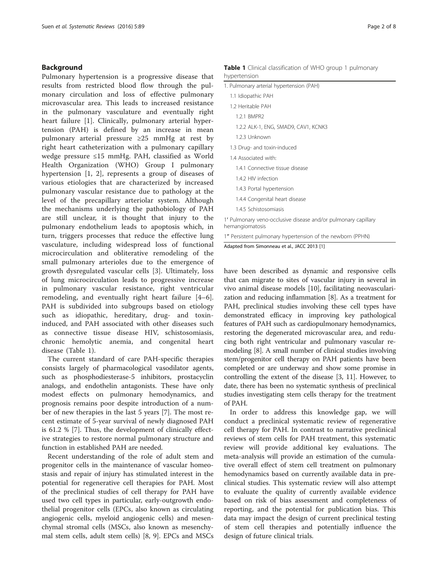# Background

Pulmonary hypertension is a progressive disease that results from restricted blood flow through the pulmonary circulation and loss of effective pulmonary microvascular area. This leads to increased resistance in the pulmonary vasculature and eventually right heart failure [[1\]](#page-7-0). Clinically, pulmonary arterial hypertension (PAH) is defined by an increase in mean pulmonary arterial pressure ≥25 mmHg at rest by right heart catheterization with a pulmonary capillary wedge pressure ≤15 mmHg. PAH, classified as World Health Organization (WHO) Group I pulmonary hypertension [[1, 2\]](#page-7-0), represents a group of diseases of various etiologies that are characterized by increased pulmonary vascular resistance due to pathology at the level of the precapillary arteriolar system. Although the mechanisms underlying the pathobiology of PAH are still unclear, it is thought that injury to the pulmonary endothelium leads to apoptosis which, in turn, triggers processes that reduce the effective lung vasculature, including widespread loss of functional microcirculation and obliterative remodeling of the small pulmonary arterioles due to the emergence of growth dysregulated vascular cells [\[3](#page-7-0)]. Ultimately, loss of lung microcirculation leads to progressive increase in pulmonary vascular resistance, right ventricular remodeling, and eventually right heart failure [\[4](#page-7-0)–[6](#page-7-0)]. PAH is subdivided into subgroups based on etiology such as idiopathic, hereditary, drug- and toxininduced, and PAH associated with other diseases such as connective tissue disease HIV, schistosomiasis, chronic hemolytic anemia, and congenital heart disease (Table 1).

The current standard of care PAH-specific therapies consists largely of pharmacological vasodilator agents, such as phosphodiesterase-5 inhibitors, prostacyclin analogs, and endothelin antagonists. These have only modest effects on pulmonary hemodynamics, and prognosis remains poor despite introduction of a number of new therapies in the last 5 years [[7\]](#page-7-0). The most recent estimate of 5-year survival of newly diagnosed PAH is 61.2 % [[7\]](#page-7-0). Thus, the development of clinically effective strategies to restore normal pulmonary structure and function in established PAH are needed.

Recent understanding of the role of adult stem and progenitor cells in the maintenance of vascular homeostasis and repair of injury has stimulated interest in the potential for regenerative cell therapies for PAH. Most of the preclinical studies of cell therapy for PAH have used two cell types in particular, early-outgrowth endothelial progenitor cells (EPCs, also known as circulating angiogenic cells, myeloid angiogenic cells) and mesenchymal stromal cells (MSCs, also known as mesenchymal stem cells, adult stem cells) [[8](#page-7-0), [9](#page-7-0)]. EPCs and MSCs

| <b>Table 1</b> Clinical classification of WHO group 1 pulmonary |  |
|-----------------------------------------------------------------|--|
| hypertension                                                    |  |

| 1. Pulmonary arterial hypertension (PAH)                                          |  |
|-----------------------------------------------------------------------------------|--|
| 1.1 Idiopathic PAH                                                                |  |
| 1.2 Heritable PAH                                                                 |  |
| 1.2.1 BMPR2                                                                       |  |
| 1.2.2 ALK-1, ENG, SMAD9, CAV1, KCNK3                                              |  |
| 1.2.3 Unknown                                                                     |  |
| 1.3 Drug- and toxin-induced                                                       |  |
| 1.4 Associated with:                                                              |  |
| 1.4.1 Connective tissue disease                                                   |  |
| 1.4.2 HIV infection                                                               |  |
| 1.4.3 Portal hypertension                                                         |  |
| 1.4.4 Congenital heart disease                                                    |  |
| 145 Schistosomiasis                                                               |  |
| 1' Pulmonary veno-occlusive disease and/or pulmonary capillary<br>hemangiomatosis |  |
| 1" Persistent pulmonary hypertension of the newborn (PPHN)                        |  |

have been described as dynamic and responsive cells that can migrate to sites of vascular injury in several in vivo animal disease models [[10\]](#page-7-0), facilitating neovascularization and reducing inflammation [\[8](#page-7-0)]. As a treatment for PAH, preclinical studies involving these cell types have demonstrated efficacy in improving key pathological features of PAH such as cardiopulmonary hemodynamics, restoring the degenerated microvascular area, and reducing both right ventricular and pulmonary vascular remodeling [\[8](#page-7-0)]. A small number of clinical studies involving stem/progenitor cell therapy on PAH patients have been completed or are underway and show some promise in controlling the extent of the disease [\[3, 11](#page-7-0)]. However, to date, there has been no systematic synthesis of preclinical studies investigating stem cells therapy for the treatment of PAH.

In order to address this knowledge gap, we will conduct a preclinical systematic review of regenerative cell therapy for PAH. In contrast to narrative preclinical reviews of stem cells for PAH treatment, this systematic review will provide additional key evaluations. The meta-analysis will provide an estimation of the cumulative overall effect of stem cell treatment on pulmonary hemodynamics based on currently available data in preclinical studies. This systematic review will also attempt to evaluate the quality of currently available evidence based on risk of bias assessment and completeness of reporting, and the potential for publication bias. This data may impact the design of current preclinical testing of stem cell therapies and potentially influence the design of future clinical trials.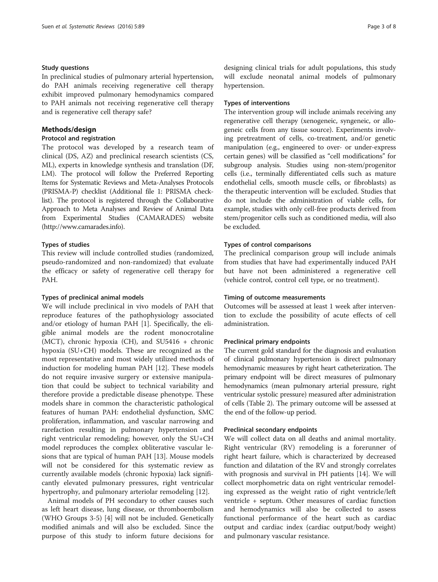# Study questions

In preclinical studies of pulmonary arterial hypertension, do PAH animals receiving regenerative cell therapy exhibit improved pulmonary hemodynamics compared to PAH animals not receiving regenerative cell therapy and is regenerative cell therapy safe?

# Methods/design

## Protocol and registration

The protocol was developed by a research team of clinical (DS, AZ) and preclinical research scientists (CS, ML), experts in knowledge synthesis and translation (DF, LM). The protocol will follow the Preferred Reporting Items for Systematic Reviews and Meta-Analyses Protocols (PRISMA-P) checklist (Additional file [1:](#page-6-0) PRISMA checklist). The protocol is registered through the Collaborative Approach to Meta Analyses and Review of Animal Data from Experimental Studies (CAMARADES) website ([http://www.camarades.info\)](http://www.camarades.info).

# Types of studies

This review will include controlled studies (randomized, pseudo-randomized and non-randomized) that evaluate the efficacy or safety of regenerative cell therapy for PAH.

# Types of preclinical animal models

We will include preclinical in vivo models of PAH that reproduce features of the pathophysiology associated and/or etiology of human PAH [\[1\]](#page-7-0). Specifically, the eligible animal models are the rodent monocrotaline (MCT), chronic hypoxia (CH), and SU5416 + chronic hypoxia (SU+CH) models. These are recognized as the most representative and most widely utilized methods of induction for modeling human PAH [[12\]](#page-7-0). These models do not require invasive surgery or extensive manipulation that could be subject to technical variability and therefore provide a predictable disease phenotype. These models share in common the characteristic pathological features of human PAH: endothelial dysfunction, SMC proliferation, inflammation, and vascular narrowing and rarefaction resulting in pulmonary hypertension and right ventricular remodeling; however, only the SU+CH model reproduces the complex obliterative vascular lesions that are typical of human PAH [[13](#page-7-0)]. Mouse models will not be considered for this systematic review as currently available models (chronic hypoxia) lack significantly elevated pulmonary pressures, right ventricular hypertrophy, and pulmonary arteriolar remodeling [[12\]](#page-7-0).

Animal models of PH secondary to other causes such as left heart disease, lung disease, or thromboembolism (WHO Groups 3-5) [\[4](#page-7-0)] will not be included. Genetically modified animals and will also be excluded. Since the purpose of this study to inform future decisions for designing clinical trials for adult populations, this study will exclude neonatal animal models of pulmonary hypertension.

# Types of interventions

The intervention group will include animals receiving any regenerative cell therapy (xenogeneic, syngeneic, or allogeneic cells from any tissue source). Experiments involving pretreatment of cells, co-treatment, and/or genetic manipulation (e.g., engineered to over- or under-express certain genes) will be classified as "cell modifications" for subgroup analysis. Studies using non-stem/progenitor cells (i.e., terminally differentiated cells such as mature endothelial cells, smooth muscle cells, or fibroblasts) as the therapeutic intervention will be excluded. Studies that do not include the administration of viable cells, for example, studies with only cell-free products derived from stem/progenitor cells such as conditioned media, will also be excluded.

# Types of control comparisons

The preclinical comparison group will include animals from studies that have had experimentally induced PAH but have not been administered a regenerative cell (vehicle control, control cell type, or no treatment).

# Timing of outcome measurements

Outcomes will be assessed at least 1 week after intervention to exclude the possibility of acute effects of cell administration.

# Preclinical primary endpoints

The current gold standard for the diagnosis and evaluation of clinical pulmonary hypertension is direct pulmonary hemodynamic measures by right heart catheterization. The primary endpoint will be direct measures of pulmonary hemodynamics (mean pulmonary arterial pressure, right ventricular systolic pressure) measured after administration of cells (Table [2\)](#page-3-0). The primary outcome will be assessed at the end of the follow-up period.

## Preclinical secondary endpoints

We will collect data on all deaths and animal mortality. Right ventricular (RV) remodeling is a forerunner of right heart failure, which is characterized by decreased function and dilatation of the RV and strongly correlates with prognosis and survival in PH patients [[14\]](#page-7-0). We will collect morphometric data on right ventricular remodeling expressed as the weight ratio of right ventricle/left ventricle + septum. Other measures of cardiac function and hemodynamics will also be collected to assess functional performance of the heart such as cardiac output and cardiac index (cardiac output/body weight) and pulmonary vascular resistance.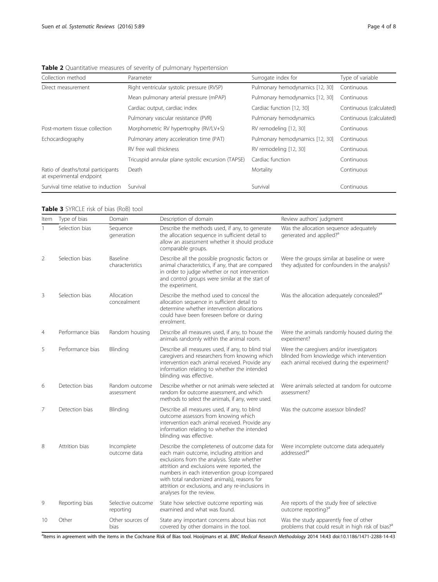<span id="page-3-0"></span>Table 2 Quantitative measures of severity of pulmonary hypertension

| Collection method                                              | Parameter                                          | Surrogate index for             | Type of variable        |
|----------------------------------------------------------------|----------------------------------------------------|---------------------------------|-------------------------|
| Direct measurement                                             | Right ventricular systolic pressure (RVSP)         | Pulmonary hemodynamics [12, 30] | Continuous              |
|                                                                | Mean pulmonary arterial pressure (mPAP)            | Pulmonary hemodynamics [12, 30] | Continuous              |
|                                                                | Cardiac output, cardiac index                      | Cardiac function [12, 30]       | Continuous (calculated) |
|                                                                | Pulmonary vascular resistance (PVR)                | Pulmonary hemodynamics          | Continuous (calculated) |
| Post-mortem tissue collection                                  | Morphometric RV hypertrophy (RV/LV+S)              | RV remodeling [12, 30]          | Continuous              |
| Echocardiography                                               | Pulmonary artery acceleration time (PAT)           | Pulmonary hemodynamics [12, 30] | Continuous              |
|                                                                | RV free wall thickness                             | RV remodeling [12, 30]          | Continuous              |
|                                                                | Tricuspid annular plane systolic excursion (TAPSE) | Cardiac function                | Continuous              |
| Ratio of deaths/total participants<br>at experimental endpoint | Death                                              | Mortality                       | Continuous              |
| Survival time relative to induction                            | Survival                                           | Survival                        | Continuous              |

Table 3 SYRCLE risk of bias (RoB) tool

| Item           | Type of bias     | Domain                             | Description of domain                                                                                                                                                                                                                                                                                                                                                     | Review authors' judgment                                                                                                             |
|----------------|------------------|------------------------------------|---------------------------------------------------------------------------------------------------------------------------------------------------------------------------------------------------------------------------------------------------------------------------------------------------------------------------------------------------------------------------|--------------------------------------------------------------------------------------------------------------------------------------|
| 1              | Selection bias   | Sequence<br>generation             | Describe the methods used, if any, to generate<br>the allocation sequence in sufficient detail to<br>allow an assessment whether it should produce<br>comparable groups.                                                                                                                                                                                                  | Was the allocation sequence adequately<br>generated and applied? <sup>a</sup>                                                        |
| 2              | Selection bias   | <b>Baseline</b><br>characteristics | Describe all the possible prognostic factors or<br>animal characteristics, if any, that are compared<br>in order to judge whether or not intervention<br>and control groups were similar at the start of<br>the experiment.                                                                                                                                               | Were the groups similar at baseline or were<br>they adjusted for confounders in the analysis?                                        |
| 3              | Selection bias   | Allocation<br>concealment          | Describe the method used to conceal the<br>allocation sequence in sufficient detail to<br>determine whether intervention allocations<br>could have been foreseen before or during<br>enrolment.                                                                                                                                                                           | Was the allocation adequately concealed? <sup>a</sup>                                                                                |
| $\overline{4}$ | Performance bias | Random housing                     | Describe all measures used, if any, to house the<br>animals randomly within the animal room.                                                                                                                                                                                                                                                                              | Were the animals randomly housed during the<br>experiment?                                                                           |
| 5              | Performance bias | Blinding                           | Describe all measures used, if any, to blind trial<br>caregivers and researchers from knowing which<br>intervention each animal received. Provide any<br>information relating to whether the intended<br>blinding was effective.                                                                                                                                          | Were the caregivers and/or investigators<br>blinded from knowledge which intervention<br>each animal received during the experiment? |
| 6              | Detection bias   | Random outcome<br>assessment       | Describe whether or not animals were selected at<br>random for outcome assessment, and which<br>methods to select the animals, if any, were used.                                                                                                                                                                                                                         | Were animals selected at random for outcome<br>assessment?                                                                           |
| 7              | Detection bias   | Blinding                           | Describe all measures used, if any, to blind<br>outcome assessors from knowing which<br>intervention each animal received. Provide any<br>information relating to whether the intended<br>blinding was effective.                                                                                                                                                         | Was the outcome assessor blinded?                                                                                                    |
| 8              | Attrition bias   | Incomplete<br>outcome data         | Describe the completeness of outcome data for<br>each main outcome, including attrition and<br>exclusions from the analysis. State whether<br>attrition and exclusions were reported, the<br>numbers in each intervention group (compared<br>with total randomized animals), reasons for<br>attrition or exclusions, and any re-inclusions in<br>analyses for the review. | Were incomplete outcome data adequately<br>addressed? <sup>a</sup>                                                                   |
| 9              | Reporting bias   | Selective outcome<br>reporting     | State how selective outcome reporting was<br>examined and what was found.                                                                                                                                                                                                                                                                                                 | Are reports of the study free of selective<br>outcome reporting? <sup>a</sup>                                                        |
| 10             | Other            | Other sources of<br>bias           | State any important concerns about bias not<br>covered by other domains in the tool.                                                                                                                                                                                                                                                                                      | Was the study apparently free of other<br>problems that could result in high risk of bias? <sup>a</sup>                              |

<sup>a</sup>ltems in agreement with the items in the Cochrane Risk of Bias tool. Hooijmans et al. BMC Medical Research Methodology 2014 14:43 doi[:10.1186/1471-2288-14-43](http://dx.doi.org/10.1186/1471-2288-14-43)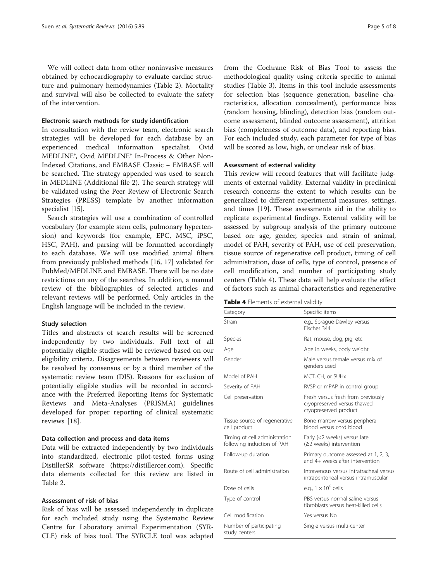We will collect data from other noninvasive measures obtained by echocardiography to evaluate cardiac structure and pulmonary hemodynamics (Table [2](#page-3-0)). Mortality and survival will also be collected to evaluate the safety of the intervention.

## Electronic search methods for study identification

In consultation with the review team, electronic search strategies will be developed for each database by an experienced medical information specialist. Ovid MEDLINE®, Ovid MEDLINE® In-Process & Other Non-Indexed Citations, and EMBASE Classic + EMBASE will be searched. The strategy appended was used to search in MEDLINE (Additional file [2](#page-6-0)). The search strategy will be validated using the Peer Review of Electronic Search Strategies (PRESS) template by another information specialist [[15\]](#page-7-0).

Search strategies will use a combination of controlled vocabulary (for example stem cells, pulmonary hypertension) and keywords (for example, EPC, MSC, iPSC, HSC, PAH), and parsing will be formatted accordingly to each database. We will use modified animal filters from previously published methods [\[16](#page-7-0), [17](#page-7-0)] validated for PubMed/MEDLINE and EMBASE. There will be no date restrictions on any of the searches. In addition, a manual review of the bibliographies of selected articles and relevant reviews will be performed. Only articles in the English language will be included in the review.

#### Study selection

Titles and abstracts of search results will be screened independently by two individuals. Full text of all potentially eligible studies will be reviewed based on our eligibility criteria. Disagreements between reviewers will be resolved by consensus or by a third member of the systematic review team (DJS). Reasons for exclusion of potentially eligible studies will be recorded in accordance with the Preferred Reporting Items for Systematic Reviews and Meta-Analyses (PRISMA) guidelines developed for proper reporting of clinical systematic reviews [[18\]](#page-7-0).

#### Data collection and process and data items

Data will be extracted independently by two individuals into standardized, electronic pilot-tested forms using DistillerSR software [\(https://distillercer.com\)](https://distillercer.com). Specific data elements collected for this review are listed in Table [2.](#page-3-0)

# Assessment of risk of bias

Risk of bias will be assessed independently in duplicate for each included study using the Systematic Review Centre for Laboratory animal Experimentation (SYR-CLE) risk of bias tool. The SYRCLE tool was adapted

from the Cochrane Risk of Bias Tool to assess the methodological quality using criteria specific to animal studies (Table [3\)](#page-3-0). Items in this tool include assessments for selection bias (sequence generation, baseline characteristics, allocation concealment), performance bias (random housing, blinding), detection bias (random outcome assessment, blinded outcome assessment), attrition bias (completeness of outcome data), and reporting bias. For each included study, each parameter for type of bias will be scored as low, high, or unclear risk of bias.

#### Assessment of external validity

This review will record features that will facilitate judgments of external validity. External validity in preclinical research concerns the extent to which results can be generalized to different experimental measures, settings, and times [[19\]](#page-7-0). These assessments aid in the ability to replicate experimental findings. External validity will be assessed by subgroup analysis of the primary outcome based on: age, gender, species and strain of animal, model of PAH, severity of PAH, use of cell preservation, tissue source of regenerative cell product, timing of cell administration, dose of cells, type of control, presence of cell modification, and number of participating study centers (Table 4). These data will help evaluate the effect of factors such as animal characteristics and regenerative

| <b>Table 4</b> Elements of external validity |  |  |
|----------------------------------------------|--|--|
|----------------------------------------------|--|--|

| Category                                                    | Specific items                                                                             |
|-------------------------------------------------------------|--------------------------------------------------------------------------------------------|
| Strain                                                      | e.g., Sprague-Dawley versus<br>Fischer 344                                                 |
| Species                                                     | Rat, mouse, dog, pig, etc.                                                                 |
| Age                                                         | Age in weeks, body weight                                                                  |
| Gender                                                      | Male versus female versus mix of<br>genders used                                           |
| Model of PAH                                                | MCT, CH, or SUHx                                                                           |
| Severity of PAH                                             | RVSP or mPAP in control group                                                              |
| Cell preservation                                           | Fresh versus fresh from previously<br>cryopreserved versus thawed<br>cryopreserved product |
| Tissue source of regenerative<br>cell product               | Bone marrow versus peripheral<br>blood versus cord blood                                   |
| Timing of cell administration<br>following induction of PAH | Early (<2 weeks) versus late<br>(≥2 weeks) intervention                                    |
| Follow-up duration                                          | Primary outcome assessed at 1, 2, 3,<br>and 4+ weeks after intervention                    |
| Route of cell administration                                | Intravenous versus intratracheal versus<br>intraperitoneal versus intramuscular            |
| Dose of cells                                               | e.g., $1 \times 10^6$ cells                                                                |
| Type of control                                             | PBS versus normal saline versus<br>fibroblasts versus heat-killed cells                    |
| Cell modification                                           | Yes versus No                                                                              |
| Number of participating<br>study centers                    | Single versus multi-center                                                                 |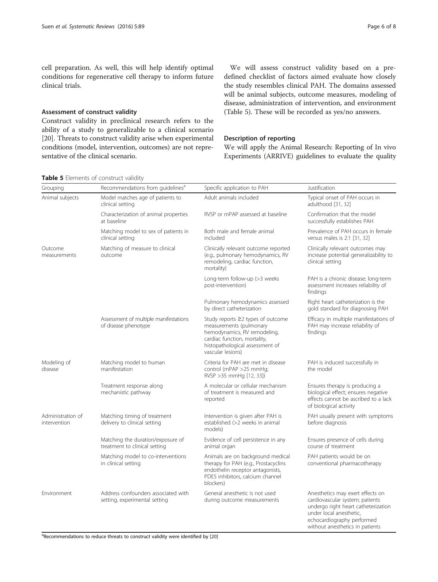cell preparation. As well, this will help identify optimal conditions for regenerative cell therapy to inform future clinical trials.

# Assessment of construct validity

Construct validity in preclinical research refers to the ability of a study to generalizable to a clinical scenario [[20\]](#page-7-0). Threats to construct validity arise when experimental conditions (model, intervention, outcomes) are not representative of the clinical scenario.

# We will assess construct validity based on a predefined checklist of factors aimed evaluate how closely the study resembles clinical PAH. The domains assessed will be animal subjects, outcome measures, modeling of disease, administration of intervention, and environment (Table 5). These will be recorded as yes/no answers.

# Description of reporting

We will apply the Animal Research: Reporting of In vivo Experiments (ARRIVE) guidelines to evaluate the quality

without anesthetics in patients

| Grouping                          | Recommendations from quidelines <sup>a</sup>                         | Specific application to PAH                                                                                                                                                          | Justification                                                                                                                                                       |
|-----------------------------------|----------------------------------------------------------------------|--------------------------------------------------------------------------------------------------------------------------------------------------------------------------------------|---------------------------------------------------------------------------------------------------------------------------------------------------------------------|
| Animal subjects                   | Model matches age of patients to<br>clinical setting                 | Adult animals included                                                                                                                                                               | Typical onset of PAH occurs in<br>adulthood [31, 32]                                                                                                                |
|                                   | Characterization of animal properties<br>at baseline                 | RVSP or mPAP assessed at baseline                                                                                                                                                    | Confirmation that the model<br>successfully establishes PAH                                                                                                         |
|                                   | Matching model to sex of patients in<br>clinical setting             | Both male and female animal<br>included                                                                                                                                              | Prevalence of PAH occurs in female<br>versus males is 2:1 [31, 32]                                                                                                  |
| Outcome<br>measurements           | Matching of measure to clinical<br>outcome                           | Clinically relevant outcome reported<br>(e.g., pulmonary hemodynamics, RV<br>remodeling, cardiac function,<br>mortality)                                                             | Clinically relevant outcomes may<br>increase potential generalizability to<br>clinical setting                                                                      |
|                                   |                                                                      | Long-term follow-up (>3 weeks<br>post-intervention)                                                                                                                                  | PAH is a chronic disease; long-term<br>assessment increases reliability of<br>findings                                                                              |
|                                   |                                                                      | Pulmonary hemodynamics assessed<br>by direct catheterization                                                                                                                         | Right heart catheterization is the<br>gold standard for diagnosing PAH                                                                                              |
|                                   | Assessment of multiple manifestations<br>of disease phenotype        | Study reports ≥2 types of outcome<br>measurements (pulmonary<br>hemodynamics, RV remodeling,<br>cardiac function, mortality,<br>histopathological assessment of<br>vascular lesions) | Efficacy in multiple manifestations of<br>PAH may increase reliability of<br>findings                                                                               |
| Modeling of<br>disease            | Matching model to human<br>manifestation                             | Criteria for PAH are met in disease<br>control (mPAP >25 mmHq;<br>RVSP > 35 mmHg [12, 33])                                                                                           | PAH is induced successfully in<br>the model                                                                                                                         |
|                                   | Treatment response along<br>mechanistic pathway                      | A molecular or cellular mechanism<br>of treatment is measured and<br>reported                                                                                                        | Ensures therapy is producing a<br>biological effect; ensures negative<br>effects cannot be ascribed to a lack<br>of biological activity                             |
| Administration of<br>intervention | Matching timing of treatment<br>delivery to clinical setting         | Intervention is given after PAH is<br>established (>2 weeks in animal<br>models)                                                                                                     | PAH usually present with symptoms<br>before diagnosis                                                                                                               |
|                                   | Matching the duration/exposure of<br>treatment to clinical setting   | Evidence of cell persistence in any<br>animal organ                                                                                                                                  | Ensures presence of cells during<br>course of treatment                                                                                                             |
|                                   | Matching model to co-interventions<br>in clinical setting            | Animals are on background medical<br>therapy for PAH (e.g., Prostacyclins<br>endothelin receptor antagonists,<br>PDE5 inhibitors, calcium channel<br>blockers)                       | PAH patients would be on<br>conventional pharmacotherapy                                                                                                            |
| Environment                       | Address confounders associated with<br>setting, experimental setting | General anesthetic is not used<br>during outcome measurements                                                                                                                        | Anesthetics may exert effects on<br>cardiovascular system; patients<br>undergo right heart catheterization<br>under local anesthetic,<br>echocardiography performed |

# Table 5 Elements of construct validity

<sup>a</sup>Recommendations to reduce threats to construct validity were identified by [\[20\]](#page-7-0)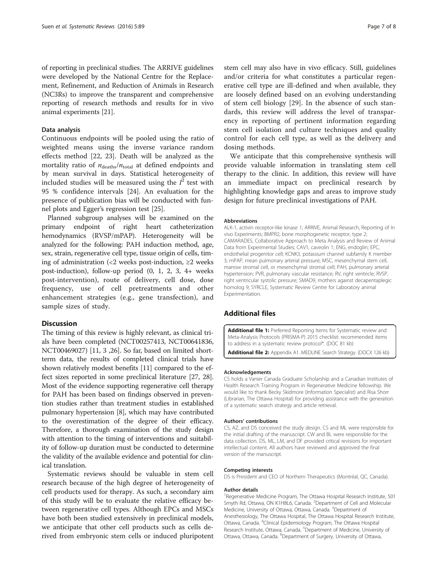<span id="page-6-0"></span>of reporting in preclinical studies. The ARRIVE guidelines were developed by the National Centre for the Replacement, Refinement, and Reduction of Animals in Research (NC3Rs) to improve the transparent and comprehensive reporting of research methods and results for in vivo animal experiments [\[21\]](#page-7-0).

#### Data analysis

Continuous endpoints will be pooled using the ratio of weighted means using the inverse variance random effects method [[22](#page-7-0), [23\]](#page-7-0). Death will be analyzed as the mortality ratio of  $n_{\text{deaths}}/n_{\text{total}}$  at defined endpoints and by mean survival in days. Statistical heterogeneity of included studies will be measured using the  $I^2$  test with 95 % confidence intervals [\[24\]](#page-7-0). An evaluation for the presence of publication bias will be conducted with funnel plots and Egger's regression test [\[25\]](#page-7-0).

Planned subgroup analyses will be examined on the primary endpoint of right heart catheterization hemodynamics (RVSP/mPAP). Heterogeneity will be analyzed for the following: PAH induction method, age, sex, strain, regenerative cell type, tissue origin of cells, timing of administration (<2 weeks post-induction, ≥2 weeks post-induction), follow-up period (0, 1, 2, 3, 4+ weeks post-intervention), route of delivery, cell dose, dose frequency, use of cell pretreatments and other enhancement strategies (e.g., gene transfection), and sample sizes of study.

#### **Discussion**

The timing of this review is highly relevant, as clinical trials have been completed (NCT00257413, NCT00641836, NCT00469027) [\[11, 3](#page-7-0) [,26\]](#page-7-0). So far, based on limited shortterm data, the results of completed clinical trials have shown relatively modest benefits [\[11\]](#page-7-0) compared to the effect sizes reported in some preclinical literature [\[27, 28](#page-7-0)]. Most of the evidence supporting regenerative cell therapy for PAH has been based on findings observed in prevention studies rather than treatment studies in established pulmonary hypertension [[8\]](#page-7-0), which may have contributed to the overestimation of the degree of their efficacy. Therefore, a thorough examination of the study design with attention to the timing of interventions and suitability of follow-up duration must be conducted to determine the validity of the available evidence and potential for clinical translation.

Systematic reviews should be valuable in stem cell research because of the high degree of heterogeneity of cell products used for therapy. As such, a secondary aim of this study will be to evaluate the relative efficacy between regenerative cell types. Although EPCs and MSCs have both been studied extensively in preclinical models, we anticipate that other cell products such as cells derived from embryonic stem cells or induced pluripotent

stem cell may also have in vivo efficacy. Still, guidelines and/or criteria for what constitutes a particular regenerative cell type are ill-defined and when available, they are loosely defined based on an evolving understanding of stem cell biology [[29](#page-7-0)]. In the absence of such standards, this review will address the level of transparency in reporting of pertinent information regarding stem cell isolation and culture techniques and quality control for each cell type, as well as the delivery and dosing methods.

We anticipate that this comprehensive synthesis will provide valuable information in translating stem cell therapy to the clinic. In addition, this review will have an immediate impact on preclinical research by highlighting knowledge gaps and areas to improve study design for future preclinical investigations of PAH.

#### Abbreviations

ALK-1, activin receptor-like kinase 1; ARRIVE, Animal Research, Reporting of In vivo Experiments; BMPR2, bone morphogenetic receptor, type 2; CAMARADES, Collaborative Approach to Meta Analysis and Review of Animal Data from Experimental Studies; CAV1, caveolin 1; ENG, endoglin; EPC, endothelial progenitor cell; KCNK3, potassium channel subfamily K member 3; mPAP, mean pulmonary arterial pressure; MSC, mesenchymal stem cell, marrow stromal cell, or mesenchymal stromal cell; PAH, pulmonary arterial hypertension; PVR, pulmonary vascular resistance; RV, right ventricle; RVSP, right ventricular systolic pressure; SMAD9, mothers against decapentaplegic homolog 9; SYRCLE, Systematic Review Centre for Laboratory animal Experimentation.

# Additional files

[Additional file 1:](dx.doi.org/10.1186/s13643-016-0265-x) Preferred Reporting Items for Systematic review and Meta-Analysis Protocols (PRISMA-P) 2015 checklist: recommended items to address in a systematic review protocol\*. (DOC 81 kb)

[Additional file 2:](dx.doi.org/10.1186/s13643-016-0265-x) Appendix A1. MEDLINE Search Strategy. (DOCX 126 kb)

#### Acknowledgements

CS holds a Vanier Canada Graduate Scholarship and a Canadian Institutes of Health Research Training Program in Regenerative Medicine fellowship. We would like to thank Becky Skidmore (Information Specialist) and Risa Shorr (Librarian, The Ottawa Hospital) for providing assistance with the generation of a systematic search strategy and article retrieval.

#### Authors' contributions

CS, AZ, and DS conceived the study design. CS and ML were responsible for the initial drafting of the manuscript. CW and BL were responsible for the data collection. DS, ML, LM, and DF provided critical revisions for important intellectual content. All authors have reviewed and approved the final version of the manuscript.

#### Competing interests

DS is President and CEO of Northern Therapeutics (Montréal, QC, Canada).

#### Author details

<sup>1</sup> Regenerative Medicine Program, The Ottawa Hospital Research Institute, 501 Smyth Rd, Ottawa, ON K1H8L6, Canada. <sup>2</sup>Department of Cell and Molecular Medicine, University of Ottawa, Ottawa, Canada. <sup>3</sup>Department of Anesthesiology, The Ottawa Hospital, The Ottawa Hospital Research Institute, Ottawa, Canada. <sup>4</sup>Clinical Epidemiology Program, The Ottawa Hospital Research Institute, Ottawa, Canada. <sup>5</sup> Department of Medicine, University of Ottawa, Ottawa, Canada. <sup>6</sup>Department of Surgery, University of Ottawa